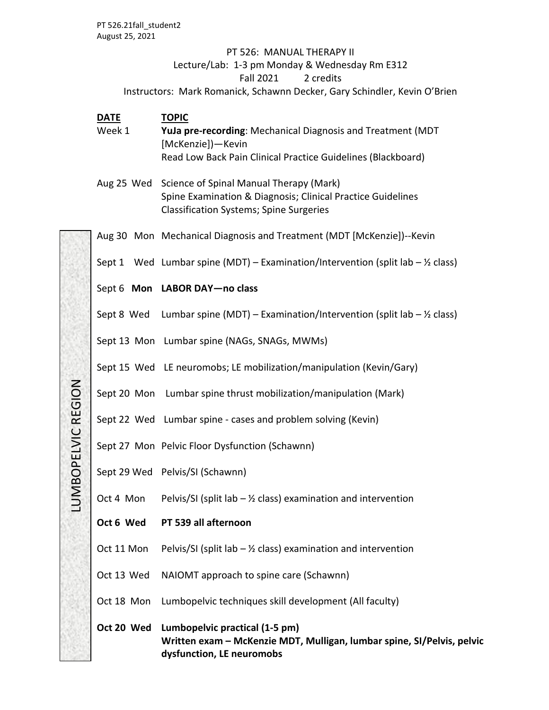PT 526.21fall\_student2 August 25, 2021

### PT 526: MANUAL THERAPY II

## Lecture/Lab: 1-3 pm Monday & Wednesday Rm E312 Fall 2021 2 credits

Instructors: Mark Romanick, Schawnn Decker, Gary Schindler, Kevin O'Brien

# **DATE TOPIC**

LUMBOPELVIC REGION LUMBOPELVIC REGION

| Week 1     | YuJa pre-recording: Mechanical Diagnosis and Treatment (MDT<br>[McKenzie])-Kevin<br>Read Low Back Pain Clinical Practice Guidelines (Blackboard)                    |
|------------|---------------------------------------------------------------------------------------------------------------------------------------------------------------------|
|            | Aug 25 Wed Science of Spinal Manual Therapy (Mark)<br>Spine Examination & Diagnosis; Clinical Practice Guidelines<br><b>Classification Systems; Spine Surgeries</b> |
|            | Aug 30 Mon Mechanical Diagnosis and Treatment (MDT [McKenzie])--Kevin                                                                                               |
|            | Sept 1 Wed Lumbar spine (MDT) – Examination/Intervention (split lab $-$ 1/2 class)                                                                                  |
|            | Sept 6 Mon LABOR DAY-no class                                                                                                                                       |
|            | Sept 8 Wed Lumbar spine (MDT) – Examination/Intervention (split lab – $\frac{1}{2}$ class)                                                                          |
|            | Sept 13 Mon Lumbar spine (NAGs, SNAGs, MWMs)                                                                                                                        |
|            | Sept 15 Wed LE neuromobs; LE mobilization/manipulation (Kevin/Gary)                                                                                                 |
|            | Sept 20 Mon Lumbar spine thrust mobilization/manipulation (Mark)                                                                                                    |
|            | Sept 22 Wed Lumbar spine - cases and problem solving (Kevin)                                                                                                        |
|            | Sept 27 Mon Pelvic Floor Dysfunction (Schawnn)                                                                                                                      |
|            | Sept 29 Wed Pelvis/SI (Schawnn)                                                                                                                                     |
| Oct 4 Mon  | Pelvis/SI (split lab $-\frac{1}{2}$ class) examination and intervention                                                                                             |
| Oct 6 Wed  | PT 539 all afternoon                                                                                                                                                |
| Oct 11 Mon | Pelvis/SI (split lab $-$ 1/ <sub>2</sub> class) examination and intervention                                                                                        |
| Oct 13 Wed | NAIOMT approach to spine care (Schawnn)                                                                                                                             |
| Oct 18 Mon | Lumbopelvic techniques skill development (All faculty)                                                                                                              |
| Oct 20 Wed | Lumbopelvic practical (1-5 pm)<br>Written exam - McKenzie MDT, Mulligan, lumbar spine, SI/Pelvis, pelvic<br>dysfunction, LE neuromobs                               |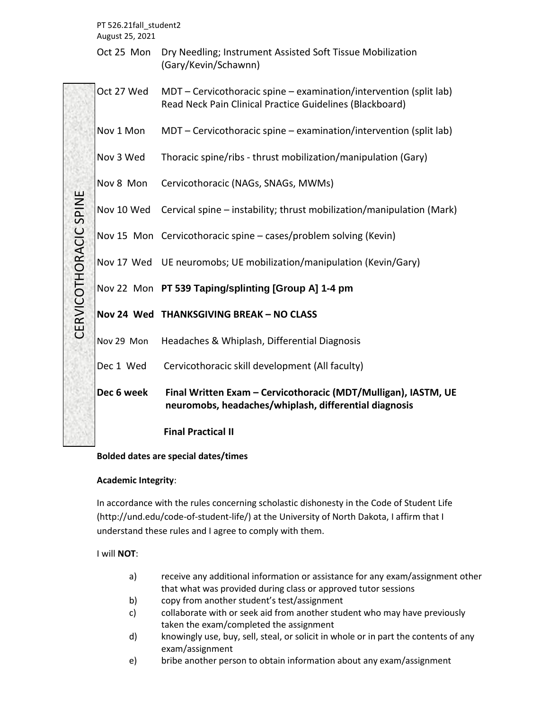|                       | PT 526.21fall_student2<br>August 25, 2021 |                                                                                                                                 |
|-----------------------|-------------------------------------------|---------------------------------------------------------------------------------------------------------------------------------|
|                       | Oct 25 Mon                                | Dry Needling; Instrument Assisted Soft Tissue Mobilization<br>(Gary/Kevin/Schawnn)                                              |
|                       | Oct 27 Wed                                | $MDT - Cervicothoracic spine - examination/intervation (split lab)$<br>Read Neck Pain Clinical Practice Guidelines (Blackboard) |
|                       | Nov 1 Mon                                 | MDT – Cervicothoracic spine – examination/intervention (split lab)                                                              |
|                       | Nov 3 Wed                                 | Thoracic spine/ribs - thrust mobilization/manipulation (Gary)                                                                   |
|                       | Nov 8 Mon                                 | Cervicothoracic (NAGs, SNAGs, MWMs)                                                                                             |
|                       | Nov 10 Wed                                | Cervical spine – instability; thrust mobilization/manipulation (Mark)                                                           |
|                       |                                           | Nov 15 Mon Cervicothoracic spine – cases/problem solving (Kevin)                                                                |
|                       |                                           | Nov 17 Wed UE neuromobs; UE mobilization/manipulation (Kevin/Gary)                                                              |
|                       |                                           | Nov 22 Mon PT 539 Taping/splinting [Group A] 1-4 pm                                                                             |
| CERVICOTHORACIC SPINE |                                           | Nov 24 Wed THANKSGIVING BREAK - NO CLASS                                                                                        |
|                       | Nov 29 Mon                                | Headaches & Whiplash, Differential Diagnosis                                                                                    |
|                       | Dec 1 Wed                                 | Cervicothoracic skill development (All faculty)                                                                                 |
|                       | Dec 6 week                                | Final Written Exam - Cervicothoracic (MDT/Mulligan), IASTM, UE<br>neuromobs, headaches/whiplash, differential diagnosis         |
|                       |                                           | <b>Final Practical II</b>                                                                                                       |

**Bolded dates are special dates/times**

#### **Academic Integrity**:

In accordance with the rules concerning scholastic dishonesty in the Code of Student Life (http://und.edu/code-of-student-life/) at the University of North Dakota, I affirm that I understand these rules and I agree to comply with them.

#### I will **NOT**:

- a) receive any additional information or assistance for any exam/assignment other that what was provided during class or approved tutor sessions
- b) copy from another student's test/assignment
- c) collaborate with or seek aid from another student who may have previously taken the exam/completed the assignment
- d) knowingly use, buy, sell, steal, or solicit in whole or in part the contents of any exam/assignment
- e) bribe another person to obtain information about any exam/assignment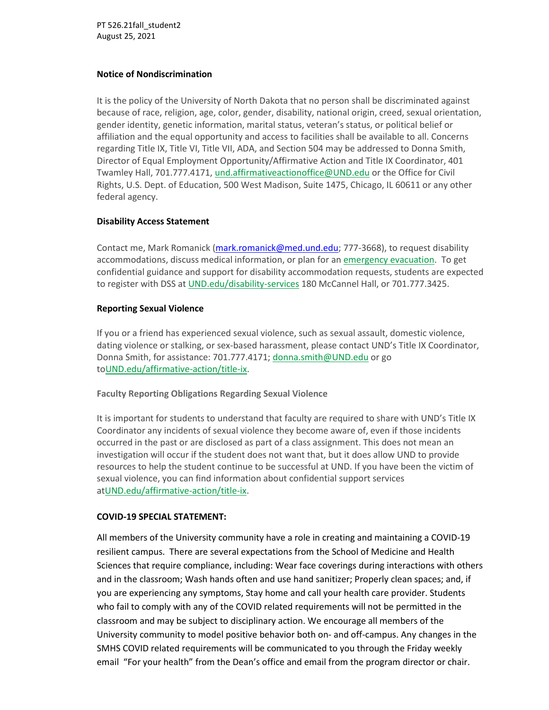PT 526.21fall\_student2 August 25, 2021

#### **Notice of Nondiscrimination**

It is the policy of the University of North Dakota that no person shall be discriminated against because of race, religion, age, color, gender, disability, national origin, creed, sexual orientation, gender identity, genetic information, marital status, veteran's status, or political belief or affiliation and the equal opportunity and access to facilities shall be available to all. Concerns regarding Title IX, Title VI, Title VII, ADA, and Section 504 may be addressed to Donna Smith, Director of Equal Employment Opportunity/Affirmative Action and Title IX Coordinator, 401 Twamley Hall, 701.777.4171, [und.affirmativeactionoffice@UND.edu](mailto:und.affirmativeactionoffice@UND.edu) or the Office for Civil Rights, U.S. Dept. of Education, 500 West Madison, Suite 1475, Chicago, IL 60611 or any other federal agency.

#### **Disability Access Statement**

Contact me, Mark Romanick [\(mark.romanick@med.und.edu;](mailto:mark.romanick@med.und.edu) 777-3668), to request disability accommodations, discuss medical information, or plan for an [emergency evacuation.](http://und.edu/public-safety/public-safety/fire-safety.cfm) To get confidential guidance and support for disability accommodation requests, students are expected to register with DSS at [UND.edu/disability-services](http://und.edu/disability-services/index.cfm) 180 McCannel Hall, or 701.777.3425.

#### **Reporting Sexual Violence**

If you or a friend has experienced sexual violence, such as sexual assault, domestic violence, dating violence or stalking, or sex-based harassment, please contact UND's Title IX Coordinator, Donna Smith, for assistance: 701.777.4171; [donna.smith@UND.edu](mailto:donna.smith@UND.edu) or go t[oUND.edu/affirmative-action/title-ix.](http://und.edu/affirmative-action/title-ix/index.cfm)

**Faculty Reporting Obligations Regarding Sexual Violence**

It is important for students to understand that faculty are required to share with UND's Title IX Coordinator any incidents of sexual violence they become aware of, even if those incidents occurred in the past or are disclosed as part of a class assignment. This does not mean an investigation will occur if the student does not want that, but it does allow UND to provide resources to help the student continue to be successful at UND. If you have been the victim of sexual violence, you can find information about confidential support services a[tUND.edu/affirmative-action/title-ix.](http://und.edu/affirmative-action/title-ix/index.cfm)

#### **COVID-19 SPECIAL STATEMENT:**

All members of the University community have a role in creating and maintaining a COVID-19 resilient campus. There are several expectations from the School of Medicine and Health Sciences that require compliance, including: Wear face coverings during interactions with others and in the classroom; Wash hands often and use hand sanitizer; Properly clean spaces; and, if you are experiencing any symptoms, Stay home and call your health care provider. Students who fail to comply with any of the COVID related requirements will not be permitted in the classroom and may be subject to disciplinary action. We encourage all members of the University community to model positive behavior both on- and off-campus. Any changes in the SMHS COVID related requirements will be communicated to you through the Friday weekly email "For your health" from the Dean's office and email from the program director or chair.